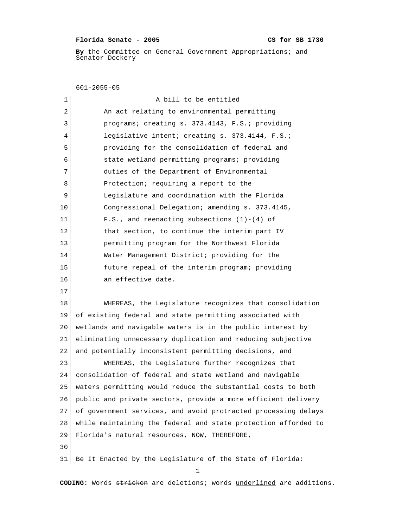## Florida Senate - 2005 CS for SB 1730

 **By** the Committee on General Government Appropriations; and Senator Dockery

601-2055-05

| 1  | A bill to be entitled                                          |
|----|----------------------------------------------------------------|
| 2  | An act relating to environmental permitting                    |
| 3  | programs; creating s. 373.4143, F.S.; providing                |
| 4  | legislative intent; creating s. 373.4144, F.S.;                |
| 5  | providing for the consolidation of federal and                 |
| 6  | state wetland permitting programs; providing                   |
| 7  | duties of the Department of Environmental                      |
| 8  | Protection; requiring a report to the                          |
| 9  | Legislature and coordination with the Florida                  |
| 10 | Congressional Delegation; amending s. 373.4145,                |
| 11 | F.S., and reenacting subsections $(1)-(4)$ of                  |
| 12 | that section, to continue the interim part IV                  |
| 13 | permitting program for the Northwest Florida                   |
| 14 | Water Management District; providing for the                   |
| 15 | future repeal of the interim program; providing                |
| 16 | an effective date.                                             |
| 17 |                                                                |
| 18 | WHEREAS, the Legislature recognizes that consolidation         |
| 19 | of existing federal and state permitting associated with       |
| 20 | wetlands and navigable waters is in the public interest by     |
| 21 | eliminating unnecessary duplication and reducing subjective    |
| 22 | and potentially inconsistent permitting decisions, and         |
| 23 | WHEREAS, the Legislature further recognizes that               |
| 24 | consolidation of federal and state wetland and navigable       |
| 25 | waters permitting would reduce the substantial costs to both   |
| 26 | public and private sectors, provide a more efficient delivery  |
| 27 | of government services, and avoid protracted processing delays |
| 28 | while maintaining the federal and state protection afforded to |
| 29 | Florida's natural resources, NOW, THEREFORE,                   |
| 30 |                                                                |
| 31 | Be It Enacted by the Legislature of the State of Florida:      |
|    | 1                                                              |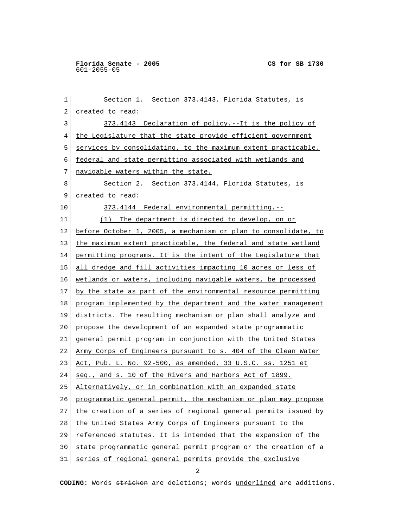1 Section 1. Section 373.4143, Florida Statutes, is 2 created to read: 3 373.4143 Declaration of policy.--It is the policy of 4 the Legislature that the state provide efficient government 5 services by consolidating, to the maximum extent practicable, 6 federal and state permitting associated with wetlands and 7 navigable waters within the state. 8 Section 2. Section 373.4144, Florida Statutes, is 9 created to read: 10 373.4144 Federal environmental permitting.-- 11 (1) The department is directed to develop, on or 12 before October 1, 2005, a mechanism or plan to consolidate, to 13 | the maximum extent practicable, the federal and state wetland 14 permitting programs. It is the intent of the Legislature that 15 all dredge and fill activities impacting 10 acres or less of 16 wetlands or waters, including navigable waters, be processed 17 by the state as part of the environmental resource permitting 18 program implemented by the department and the water management 19 districts. The resulting mechanism or plan shall analyze and 20 propose the development of an expanded state programmatic 21 general permit program in conjunction with the United States 22 Army Corps of Engineers pursuant to s. 404 of the Clean Water 23 Act, Pub. L. No. 92-500, as amended, 33 U.S.C. ss. 1251 et 24 seq., and s. 10 of the Rivers and Harbors Act of 1899. 25 Alternatively, or in combination with an expanded state 26 programmatic general permit, the mechanism or plan may propose 27 the creation of a series of regional general permits issued by 28 the United States Army Corps of Engineers pursuant to the 29 referenced statutes. It is intended that the expansion of the 30 state programmatic general permit program or the creation of a 31 | series of regional general permits provide the exclusive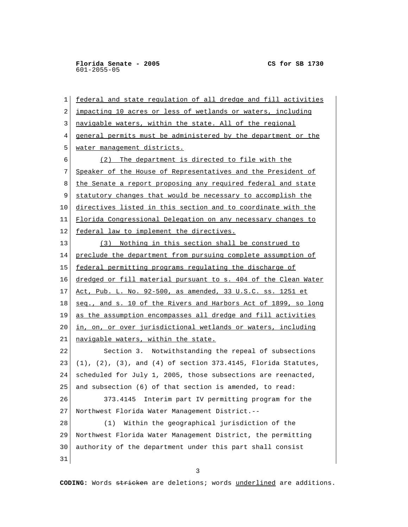1 federal and state regulation of all dredge and fill activities 2 impacting 10 acres or less of wetlands or waters, including 3 navigable waters, within the state. All of the regional 4 general permits must be administered by the department or the 5 water management districts. 6 (2) The department is directed to file with the 7 Speaker of the House of Representatives and the President of 8 the Senate a report proposing any required federal and state 9 statutory changes that would be necessary to accomplish the 10 directives listed in this section and to coordinate with the 11 Florida Congressional Delegation on any necessary changes to 12 federal law to implement the directives. 13 (3) Nothing in this section shall be construed to 14 preclude the department from pursuing complete assumption of 15 federal permitting programs regulating the discharge of 16 dredged or fill material pursuant to s. 404 of the Clean Water 17 Act, Pub. L. No. 92-500, as amended, 33 U.S.C. ss. 1251 et 18 seq., and s. 10 of the Rivers and Harbors Act of 1899, so long 19 as the assumption encompasses all dredge and fill activities 20 in, on, or over jurisdictional wetlands or waters, including 21 navigable waters, within the state. 22 Section 3. Notwithstanding the repeal of subsections 23 (1), (2), (3), and (4) of section 373.4145, Florida Statutes, 24 scheduled for July 1, 2005, those subsections are reenacted, 25 and subsection (6) of that section is amended, to read: 26 373.4145 Interim part IV permitting program for the 27 Northwest Florida Water Management District.-- 28 (1) Within the geographical jurisdiction of the 29 Northwest Florida Water Management District, the permitting 30 authority of the department under this part shall consist 31

3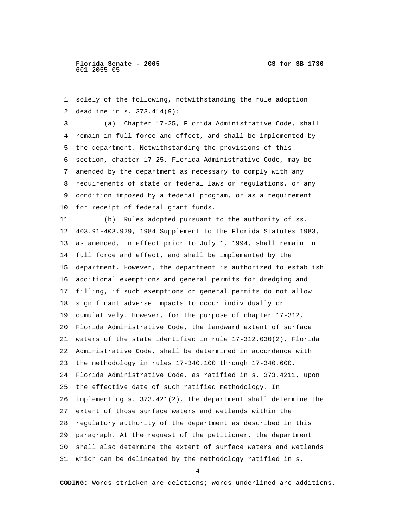1 solely of the following, notwithstanding the rule adoption 2 deadline in s. 373.414(9): 3 (a) Chapter 17-25, Florida Administrative Code, shall 4 remain in full force and effect, and shall be implemented by 5 the department. Notwithstanding the provisions of this 6 section, chapter 17-25, Florida Administrative Code, may be 7 amended by the department as necessary to comply with any 8 requirements of state or federal laws or regulations, or any 9 condition imposed by a federal program, or as a requirement 10 for receipt of federal grant funds. 11 (b) Rules adopted pursuant to the authority of ss. 12 403.91-403.929, 1984 Supplement to the Florida Statutes 1983, 13 as amended, in effect prior to July 1, 1994, shall remain in 14 full force and effect, and shall be implemented by the 15 department. However, the department is authorized to establish 16 additional exemptions and general permits for dredging and 17 filling, if such exemptions or general permits do not allow 18 significant adverse impacts to occur individually or 19 cumulatively. However, for the purpose of chapter 17-312, 20 Florida Administrative Code, the landward extent of surface 21 waters of the state identified in rule 17-312.030(2), Florida 22 Administrative Code, shall be determined in accordance with 23 the methodology in rules  $17-340.100$  through  $17-340.600$ , 24 Florida Administrative Code, as ratified in s. 373.4211, upon 25 the effective date of such ratified methodology. In 26 implementing s. 373.421(2), the department shall determine the 27 extent of those surface waters and wetlands within the 28 regulatory authority of the department as described in this 29 paragraph. At the request of the petitioner, the department 30 shall also determine the extent of surface waters and wetlands 31 which can be delineated by the methodology ratified in s.

4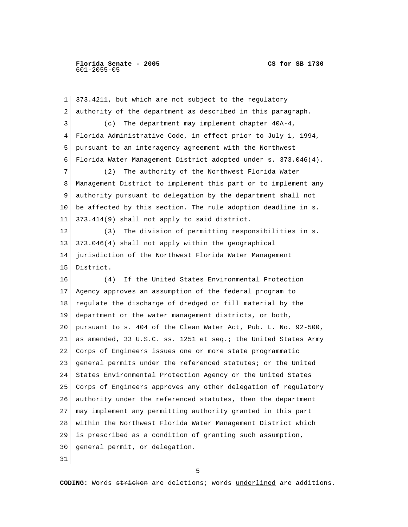1 373.4211, but which are not subject to the regulatory 2 authority of the department as described in this paragraph. 3 (c) The department may implement chapter 40A-4, 4 Florida Administrative Code, in effect prior to July 1, 1994, 5 pursuant to an interagency agreement with the Northwest 6 Florida Water Management District adopted under s. 373.046(4). 7 (2) The authority of the Northwest Florida Water 8 Management District to implement this part or to implement any 9 authority pursuant to delegation by the department shall not 10 be affected by this section. The rule adoption deadline in s. 11 373.414(9) shall not apply to said district. 12 (3) The division of permitting responsibilities in s. 13 373.046(4) shall not apply within the geographical 14 jurisdiction of the Northwest Florida Water Management 15 District. 16 (4) If the United States Environmental Protection 17 Agency approves an assumption of the federal program to 18 regulate the discharge of dredged or fill material by the 19 department or the water management districts, or both, 20 pursuant to s. 404 of the Clean Water Act, Pub. L. No. 92-500, 21 as amended, 33 U.S.C. ss. 1251 et seq.; the United States Army 22 Corps of Engineers issues one or more state programmatic 23 general permits under the referenced statutes; or the United 24 States Environmental Protection Agency or the United States 25 Corps of Engineers approves any other delegation of regulatory 26 authority under the referenced statutes, then the department 27 may implement any permitting authority granted in this part 28 within the Northwest Florida Water Management District which 29 is prescribed as a condition of granting such assumption, 30 general permit, or delegation. 31

 $\sim$  5  $\sim$  5  $\sim$  5  $\sim$  5  $\sim$  5  $\sim$  5  $\sim$  5  $\sim$  5  $\sim$  5  $\sim$  5  $\sim$  5  $\sim$  5  $\sim$  5  $\sim$  5  $\sim$  5  $\sim$  5  $\sim$  5  $\sim$  5  $\sim$  5  $\sim$  5  $\sim$  5  $\sim$  5  $\sim$  5  $\sim$  5  $\sim$  5  $\sim$  5  $\sim$  5  $\sim$  5  $\sim$  5  $\sim$  5  $\sim$  5  $\sim$